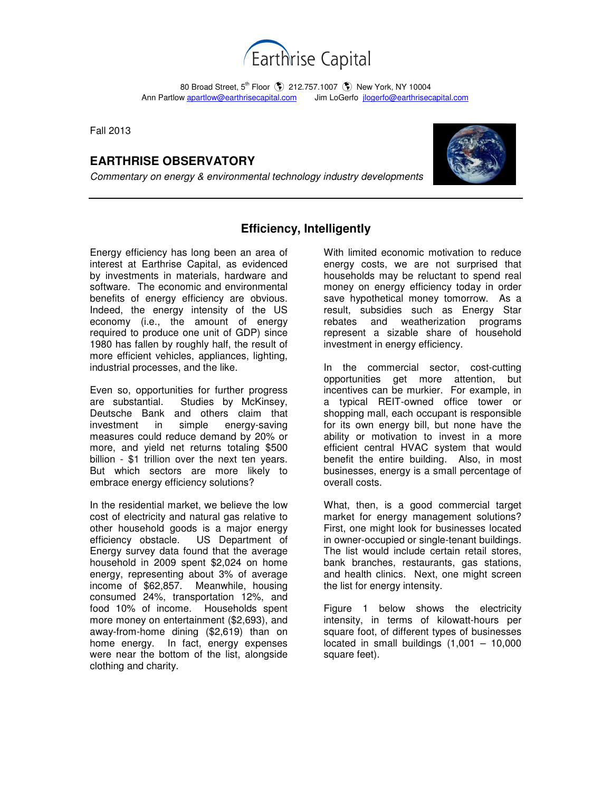

80 Broad Street, 5<sup>th</sup> Floor (\$) 212.757.1007 (\$) New York, NY 10004 Ann Partlow apartlow@earthrisecapital.comJim LoGerfo jlogerfo@earthrisecapital.com

Fall 2013

# **EARTHRISE OBSERVATORY**

Commentary on energy & environmental technology industry developments



## **Efficiency, Intelligently**

Energy efficiency has long been an area of interest at Earthrise Capital, as evidenced by investments in materials, hardware and software. The economic and environmental benefits of energy efficiency are obvious. Indeed, the energy intensity of the US economy (i.e., the amount of energy required to produce one unit of GDP) since 1980 has fallen by roughly half, the result of more efficient vehicles, appliances, lighting, industrial processes, and the like.

Even so, opportunities for further progress are substantial. Studies by McKinsey, Deutsche Bank and others claim that investment in simple energy-saving measures could reduce demand by 20% or more, and yield net returns totaling \$500 billion - \$1 trillion over the next ten years. But which sectors are more likely to embrace energy efficiency solutions?

In the residential market, we believe the low cost of electricity and natural gas relative to other household goods is a major energy efficiency obstacle. US Department of Energy survey data found that the average household in 2009 spent \$2,024 on home energy, representing about 3% of average income of \$62,857. Meanwhile, housing consumed 24%, transportation 12%, and food 10% of income. Households spent more money on entertainment (\$2,693), and away-from-home dining (\$2,619) than on home energy. In fact, energy expenses were near the bottom of the list, alongside clothing and charity.

With limited economic motivation to reduce energy costs, we are not surprised that households may be reluctant to spend real money on energy efficiency today in order save hypothetical money tomorrow. As a result, subsidies such as Energy Star rebates and weatherization programs represent a sizable share of household investment in energy efficiency.

In the commercial sector, cost-cutting opportunities get more attention, but incentives can be murkier. For example, in a typical REIT-owned office tower or shopping mall, each occupant is responsible for its own energy bill, but none have the ability or motivation to invest in a more efficient central HVAC system that would benefit the entire building. Also, in most businesses, energy is a small percentage of overall costs.

What, then, is a good commercial target market for energy management solutions? First, one might look for businesses located in owner-occupied or single-tenant buildings. The list would include certain retail stores, bank branches, restaurants, gas stations, and health clinics. Next, one might screen the list for energy intensity.

Figure 1 below shows the electricity intensity, in terms of kilowatt-hours per square foot, of different types of businesses located in small buildings  $(1,001 - 10,000)$ square feet).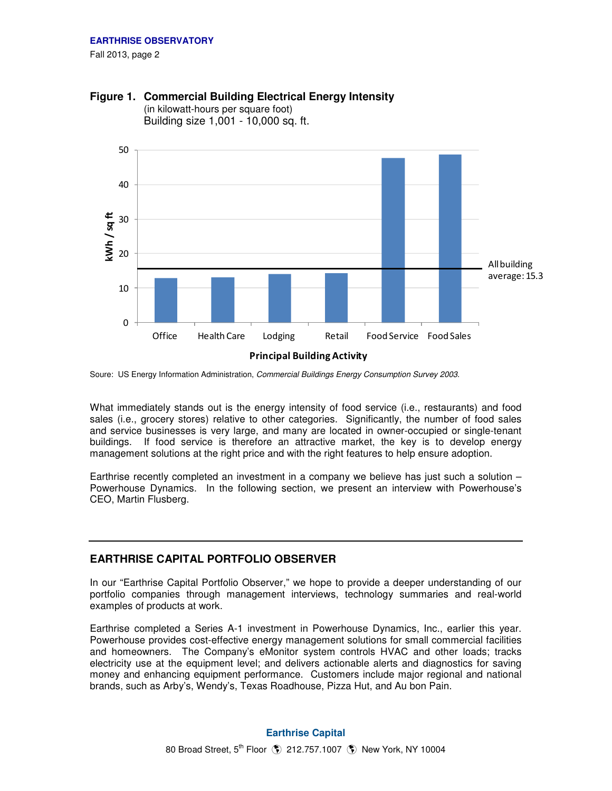Fall 2013, page 2



**Figure 1. Commercial Building Electrical Energy Intensity** 

(in kilowatt-hours per square foot) Building size 1,001 - 10,000 sq. ft.

Soure: US Energy Information Administration, Commercial Buildings Energy Consumption Survey 2003.

What immediately stands out is the energy intensity of food service (i.e., restaurants) and food sales (i.e., grocery stores) relative to other categories. Significantly, the number of food sales and service businesses is very large, and many are located in owner-occupied or single-tenant buildings. If food service is therefore an attractive market, the key is to develop energy management solutions at the right price and with the right features to help ensure adoption.

Earthrise recently completed an investment in a company we believe has just such a solution – Powerhouse Dynamics. In the following section, we present an interview with Powerhouse's CEO, Martin Flusberg.

## **EARTHRISE CAPITAL PORTFOLIO OBSERVER**

In our "Earthrise Capital Portfolio Observer," we hope to provide a deeper understanding of our portfolio companies through management interviews, technology summaries and real-world examples of products at work.

Earthrise completed a Series A-1 investment in Powerhouse Dynamics, Inc., earlier this year. Powerhouse provides cost-effective energy management solutions for small commercial facilities and homeowners. The Company's eMonitor system controls HVAC and other loads; tracks electricity use at the equipment level; and delivers actionable alerts and diagnostics for saving money and enhancing equipment performance. Customers include major regional and national brands, such as Arby's, Wendy's, Texas Roadhouse, Pizza Hut, and Au bon Pain.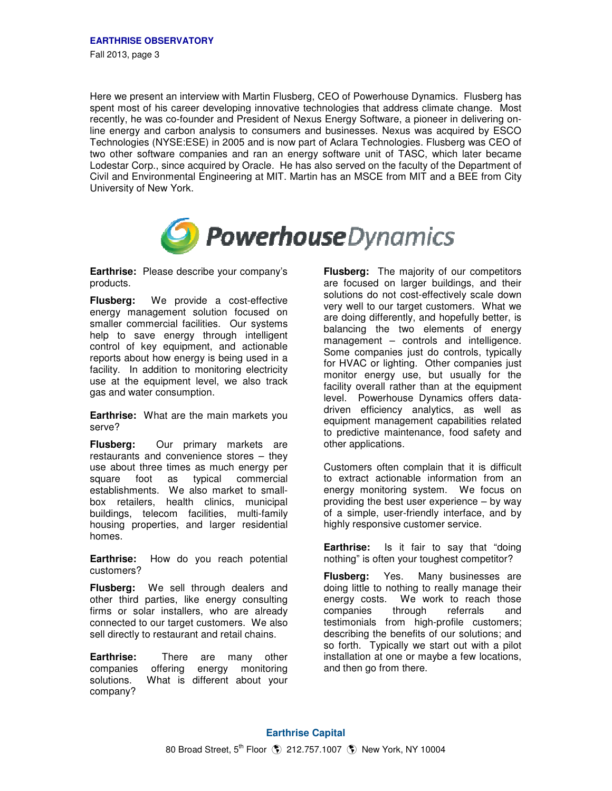Here we present an interview with Martin Flusberg, CEO of Powerhouse Dynamics. Flusberg has spent most of his career developing innovative technologies that address climate change. Most recently, he was co-founder and President of Nexus Energy Software, a pioneer in delivering online energy and carbon analysis to consumers and businesses. Nexus was acquired by ESCO Technologies (NYSE:ESE) in 2005 and is now part of Aclara Technologies. Flusberg was CEO of two other software companies and ran an energy software unit of TASC, which later became Lodestar Corp., since acquired by Oracle. He has also served on the faculty of the Department of Civil and Environmental Engineering at MIT. Martin has an MSCE from MIT and a BEE from City University of New York.



**Earthrise:** Please describe your company's products.

**Flusberg:** We provide a cost-effective energy management solution focused on smaller commercial facilities. Our systems help to save energy through intelligent control of key equipment, and actionable reports about how energy is being used in a facility. In addition to monitoring electricity use at the equipment level, we also track gas and water consumption.

**Earthrise:** What are the main markets you serve?

**Flusberg:** Our primary markets are restaurants and convenience stores – they use about three times as much energy per square foot as typical commercial establishments. We also market to smallbox retailers, health clinics, municipal buildings, telecom facilities, multi-family housing properties, and larger residential homes.

**Earthrise:** How do you reach potential customers?

**Flusberg:** We sell through dealers and other third parties, like energy consulting firms or solar installers, who are already connected to our target customers. We also sell directly to restaurant and retail chains.

**Earthrise:** There are many other companies offering energy monitoring solutions. What is different about your company?

**Flusberg:** The majority of our competitors are focused on larger buildings, and their solutions do not cost-effectively scale down very well to our target customers. What we are doing differently, and hopefully better, is balancing the two elements of energy management – controls and intelligence. Some companies just do controls, typically for HVAC or lighting. Other companies just monitor energy use, but usually for the facility overall rather than at the equipment level. Powerhouse Dynamics offers datadriven efficiency analytics, as well as equipment management capabilities related to predictive maintenance, food safety and other applications.

Customers often complain that it is difficult to extract actionable information from an energy monitoring system. We focus on providing the best user experience – by way of a simple, user-friendly interface, and by highly responsive customer service.

**Earthrise:** Is it fair to say that "doing nothing" is often your toughest competitor?

**Flusberg:** Yes. Many businesses are doing little to nothing to really manage their energy costs. We work to reach those companies through referrals and testimonials from high-profile customers; describing the benefits of our solutions; and so forth. Typically we start out with a pilot installation at one or maybe a few locations, and then go from there.